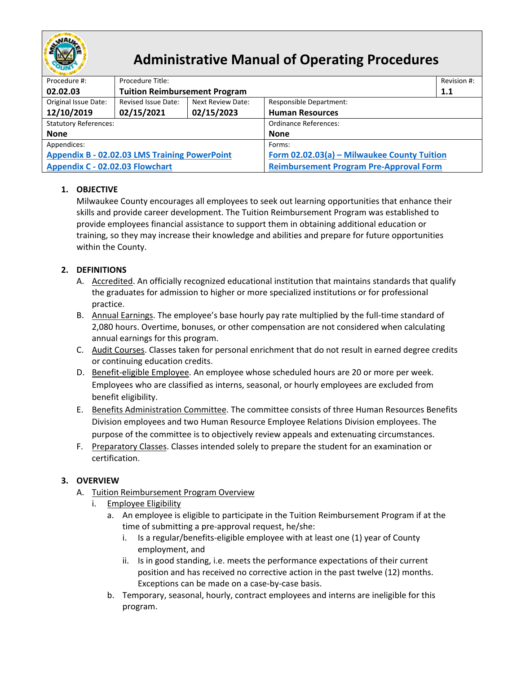

# **Administrative Manual of Operating Procedures**

| Procedure #:                                         | Procedure Title:                     |                   |                                                | Revision #: |  |  |  |
|------------------------------------------------------|--------------------------------------|-------------------|------------------------------------------------|-------------|--|--|--|
| 02.02.03                                             | <b>Tuition Reimbursement Program</b> |                   |                                                | 1.1         |  |  |  |
| Original Issue Date:                                 | Revised Issue Date:                  | Next Review Date: | <b>Responsible Department:</b>                 |             |  |  |  |
| 12/10/2019                                           | 02/15/2021                           | 02/15/2023        | <b>Human Resources</b>                         |             |  |  |  |
| <b>Statutory References:</b>                         |                                      |                   | <b>Ordinance References:</b>                   |             |  |  |  |
| <b>None</b>                                          |                                      |                   | <b>None</b>                                    |             |  |  |  |
| Appendices:                                          |                                      |                   | Forms:                                         |             |  |  |  |
| <b>Appendix B - 02.02.03 LMS Training PowerPoint</b> |                                      |                   | Form 02.02.03(a) - Milwaukee County Tuition    |             |  |  |  |
| Appendix C - 02.02.03 Flowchart                      |                                      |                   | <b>Reimbursement Program Pre-Approval Form</b> |             |  |  |  |

## **1. OBJECTIVE**

Milwaukee County encourages all employees to seek out learning opportunities that enhance their skills and provide career development. The Tuition Reimbursement Program was established to provide employees financial assistance to support them in obtaining additional education or training, so they may increase their knowledge and abilities and prepare for future opportunities within the County.

## <span id="page-0-0"></span>**2. DEFINITIONS**

- A. Accredited. An officially recognized educational institution that maintains standards that qualify the graduates for admission to higher or more specialized institutions or for professional practice.
- <span id="page-0-3"></span>B. Annual Earnings. The employee's base hourly pay rate multiplied by the full-time standard of 2,080 hours. Overtime, bonuses, or other compensation are not considered when calculating annual earnings for this program.
- <span id="page-0-1"></span>C. Audit Courses. Classes taken for personal enrichment that do not result in earned degree credits or continuing education credits.
- D. Benefit-eligible Employee. An employee whose scheduled hours are 20 or more per week. Employees who are classified as interns, seasonal, or hourly employees are excluded from benefit eligibility.
- <span id="page-0-4"></span>E. Benefits Administration Committee. The committee consists of three Human Resources Benefits Division employees and two Human Resource Employee Relations Division employees. The purpose of the committee is to objectively review appeals and extenuating circumstances.
- <span id="page-0-2"></span>F. Preparatory Classes. Classes intended solely to prepare the student for an examination or certification.

### **3. OVERVIEW**

- A. Tuition Reimbursement Program Overview
	- i. Employee Eligibility
		- a. An employee is eligible to participate in the Tuition Reimbursement Program if at the time of submitting a pre-approval request, he/she:
			- i. Is a regular/benefits-eligible employee with at least one (1) year of County employment, and
			- ii. Is in good standing, i.e. meets the performance expectations of their current position and has received no corrective action in the past twelve (12) months. Exceptions can be made on a case-by-case basis.
		- b. Temporary, seasonal, hourly, contract employees and interns are ineligible for this program.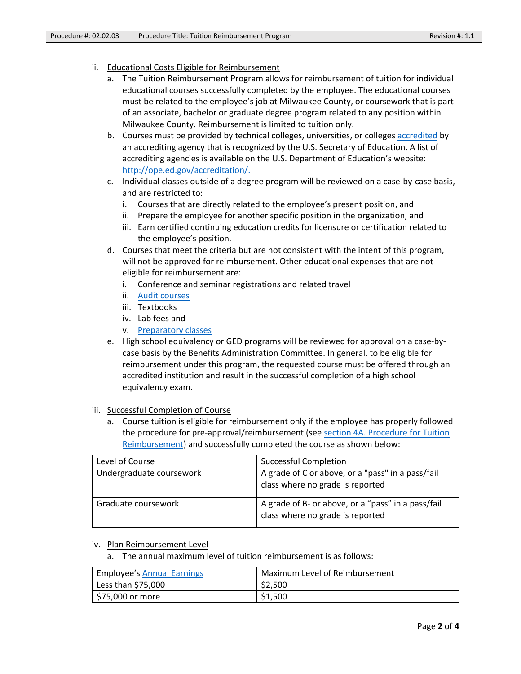- ii. Educational Costs Eligible for Reimbursement
	- a. The Tuition Reimbursement Program allows for reimbursement of tuition for individual educational courses successfully completed by the employee. The educational courses must be related to the employee's job at Milwaukee County, or coursework that is part of an associate, bachelor or graduate degree program related to any position within Milwaukee County. Reimbursement is limited to tuition only.
	- b. Courses must be provided by technical colleges, universities, or colleges [accredited](#page-0-0) by an accrediting agency that is recognized by the U.S. Secretary of Education. A list of accrediting agencies is available on the U.S. Department of Education's website: [http://ope.ed.gov/accreditation/.](http://ope.ed.gov/accreditation/)
	- c. Individual classes outside of a degree program will be reviewed on a case-by-case basis, and are restricted to:
		- i. Courses that are directly related to the employee's present position, and
		- ii. Prepare the employee for another specific position in the organization, and
		- iii. Earn certified continuing education credits for licensure or certification related to the employee's position.
	- d. Courses that meet the criteria but are not consistent with the intent of this program, will not be approved for reimbursement. Other educational expenses that are not eligible for reimbursement are:
		- i. Conference and seminar registrations and related travel
		- ii. [Audit courses](#page-0-1)
		- iii. Textbooks
		- iv. Lab fees and
		- v. [Preparatory classes](#page-0-2)
	- e. High school equivalency or GED programs will be reviewed for approval on a case-bycase basis by the Benefits Administration Committee. In general, to be eligible for reimbursement under this program, the requested course must be offered through an accredited institution and result in the successful completion of a high school equivalency exam.
- iii. Successful Completion of Course
	- a. Course tuition is eligible for reimbursement only if the employee has properly followed the procedure for pre-approval/reimbursement (see [section 4A. Procedure for Tuition](#page-2-0)  [Reimbursement\)](#page-2-0) and successfully completed the course as shown below:

| Level of Course          | <b>Successful Completion</b>                                                           |
|--------------------------|----------------------------------------------------------------------------------------|
| Undergraduate coursework | A grade of C or above, or a "pass" in a pass/fail<br>class where no grade is reported  |
| Graduate coursework      | A grade of B- or above, or a "pass" in a pass/fail<br>class where no grade is reported |

#### iv. Plan Reimbursement Level

a. The annual maximum level of tuition reimbursement is as follows:

| <b>Employee's Annual Earnings</b> | Maximum Level of Reimbursement |  |
|-----------------------------------|--------------------------------|--|
| Less than \$75,000                | \$2,500                        |  |
| \$75,000 or more                  | \$1,500                        |  |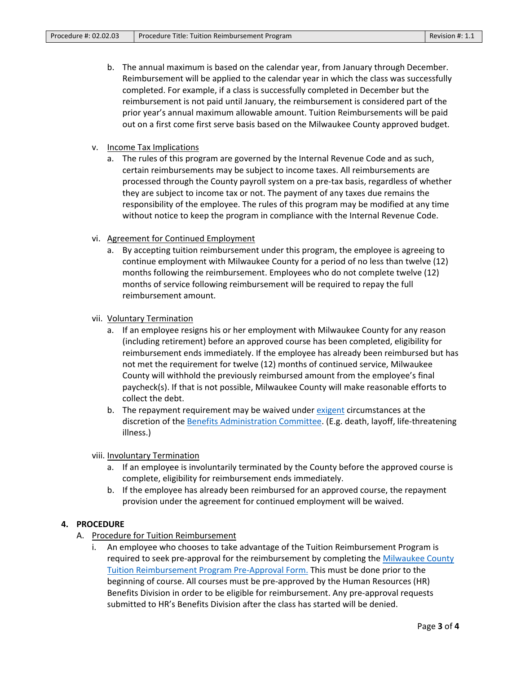- b. The annual maximum is based on the calendar year, from January through December. Reimbursement will be applied to the calendar year in which the class was successfully completed. For example, if a class is successfully completed in December but the reimbursement is not paid until January, the reimbursement is considered part of the prior year's annual maximum allowable amount. Tuition Reimbursements will be paid out on a first come first serve basis based on the Milwaukee County approved budget.
- v. Income Tax Implications
	- a. The rules of this program are governed by the Internal Revenue Code and as such, certain reimbursements may be subject to income taxes. All reimbursements are processed through the County payroll system on a pre-tax basis, regardless of whether they are subject to income tax or not. The payment of any taxes due remains the responsibility of the employee. The rules of this program may be modified at any time without notice to keep the program in compliance with the Internal Revenue Code.
- vi. Agreement for Continued Employment
	- a. By accepting tuition reimbursement under this program, the employee is agreeing to continue employment with Milwaukee County for a period of no less than twelve (12) months following the reimbursement. Employees who do not complete twelve (12) months of service following reimbursement will be required to repay the full reimbursement amount.
- vii. Voluntary Termination
	- a. If an employee resigns his or her employment with Milwaukee County for any reason (including retirement) before an approved course has been completed, eligibility for reimbursement ends immediately. If the employee has already been reimbursed but has not met the requirement for twelve (12) months of continued service, Milwaukee County will withhold the previously reimbursed amount from the employee's final paycheck(s). If that is not possible, Milwaukee County will make reasonable efforts to collect the debt.
	- b. The repayment requirement may be waived under [exigent](#page-0-2) circumstances at the discretion of the [Benefits Administration](#page-0-4) Committee. (E.g. death, layoff, life-threatening illness.)

viii. Involuntary Termination

- a. If an employee is involuntarily terminated by the County before the approved course is complete, eligibility for reimbursement ends immediately.
- b. If the employee has already been reimbursed for an approved course, the repayment provision under the agreement for continued employment will be waived.

#### <span id="page-2-0"></span>**4. PROCEDURE**

- A. Procedure for Tuition Reimbursement
	- i. An employee who chooses to take advantage of the Tuition Reimbursement Program is required to seek pre-approval for the reimbursement by completing the [Milwaukee County](http://county.milwaukee.gov/ImageLibrary/Groups/cntyHR/Benefits/TuitionReimbursementForm.pdf)  [Tuition Reimbursement Program Pre-Approval Form.](http://county.milwaukee.gov/ImageLibrary/Groups/cntyHR/Benefits/TuitionReimbursementForm.pdf) This must be done prior to the beginning of course. All courses must be pre-approved by the Human Resources (HR) Benefits Division in order to be eligible for reimbursement. Any pre-approval requests submitted to HR's Benefits Division after the class has started will be denied.